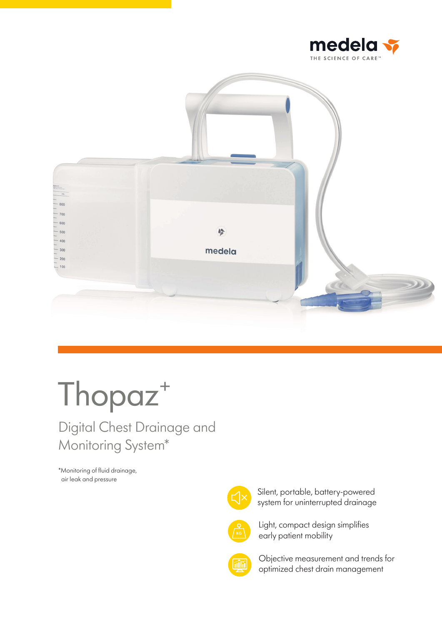





# Digital Chest Drainage and Monitoring System\*

\*Monitoring of fluid drainage, air leak and pressure



Silent, portable, battery-powered system for uninterrupted drainage



Light, compact design simplifies early patient mobility



Objective measurement and trends for optimized chest drain management